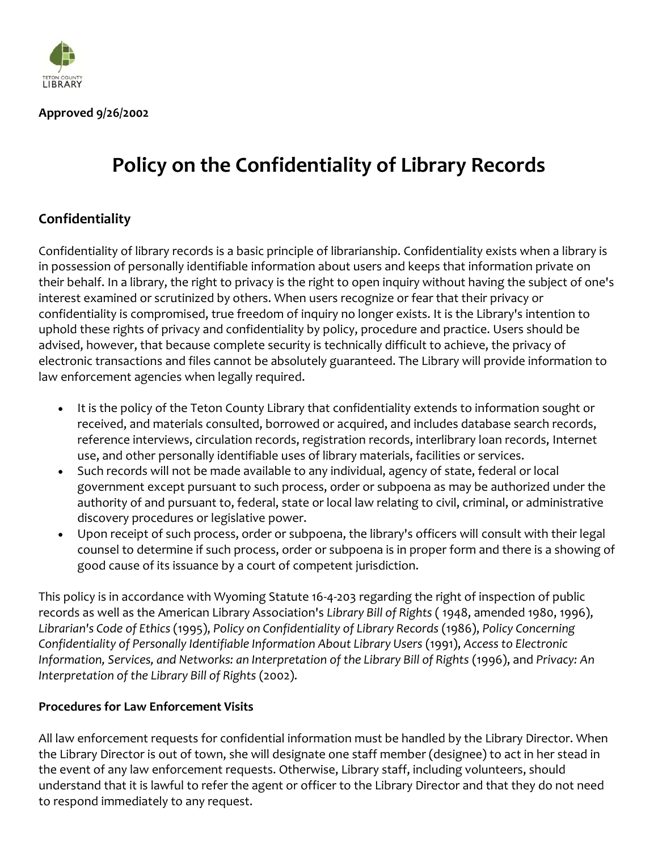

**Approved 9/26/2002**

# **Policy on the Confidentiality of Library Records**

## **Confidentiality**

Confidentiality of library records is a basic principle of librarianship. Confidentiality exists when a library is in possession of personally identifiable information about users and keeps that information private on their behalf. In a library, the right to privacy is the right to open inquiry without having the subject of one's interest examined or scrutinized by others. When users recognize or fear that their privacy or confidentiality is compromised, true freedom of inquiry no longer exists. It is the Library's intention to uphold these rights of privacy and confidentiality by policy, procedure and practice. Users should be advised, however, that because complete security is technically difficult to achieve, the privacy of electronic transactions and files cannot be absolutely guaranteed. The Library will provide information to law enforcement agencies when legally required.

- It is the policy of the Teton County Library that confidentiality extends to information sought or received, and materials consulted, borrowed or acquired, and includes database search records, reference interviews, circulation records, registration records, interlibrary loan records, Internet use, and other personally identifiable uses of library materials, facilities or services.
- Such records will not be made available to any individual, agency of state, federal or local government except pursuant to such process, order or subpoena as may be authorized under the authority of and pursuant to, federal, state or local law relating to civil, criminal, or administrative discovery procedures or legislative power.
- Upon receipt of such process, order or subpoena, the library's officers will consult with their legal counsel to determine if such process, order or subpoena is in proper form and there is a showing of good cause of its issuance by a court of competent jurisdiction.

This policy is in accordance with Wyoming Statute 16-4-203 regarding the right of inspection of public records as well as the American Library Association's *Library Bill of Rights* ( 1948, amended 1980, 1996), *Librarian's Code of Ethics* (1995), *Policy on Confidentiality of Library Records* (1986), *Policy Concerning Confidentiality of Personally Identifiable Information About Library Users* (1991), *Access to Electronic Information, Services, and Networks: an Interpretation of the Library Bill of Rights* (1996), and *Privacy: An Interpretation of the Library Bill of Rights* (2002).

## **Procedures for Law Enforcement Visits**

All law enforcement requests for confidential information must be handled by the Library Director. When the Library Director is out of town, she will designate one staff member (designee) to act in her stead in the event of any law enforcement requests. Otherwise, Library staff, including volunteers, should understand that it is lawful to refer the agent or officer to the Library Director and that they do not need to respond immediately to any request.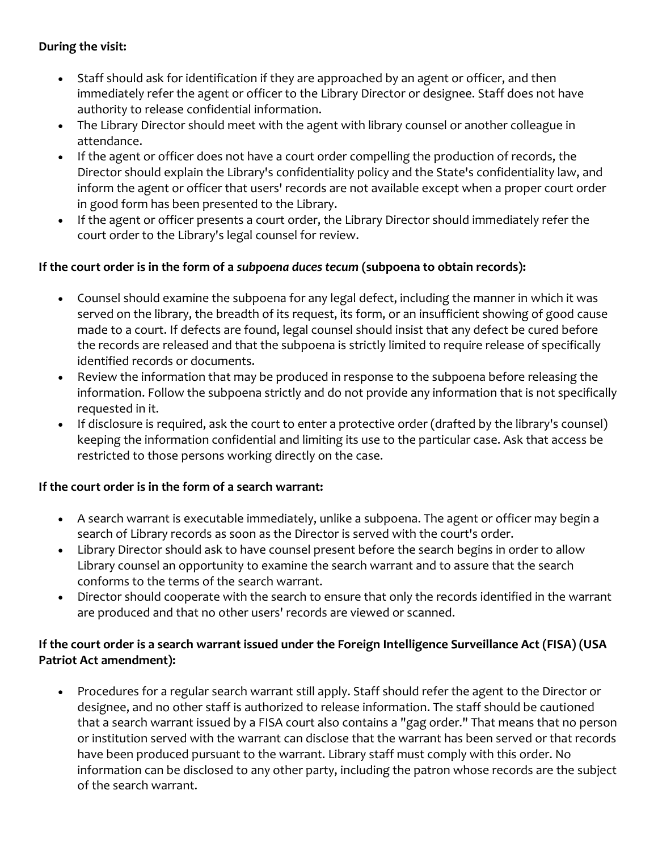## **During the visit:**

- Staff should ask for identification if they are approached by an agent or officer, and then immediately refer the agent or officer to the Library Director or designee. Staff does not have authority to release confidential information.
- The Library Director should meet with the agent with library counsel or another colleague in attendance.
- If the agent or officer does not have a court order compelling the production of records, the Director should explain the Library's confidentiality policy and the State's confidentiality law, and inform the agent or officer that users' records are not available except when a proper court order in good form has been presented to the Library.
- If the agent or officer presents a court order, the Library Director should immediately refer the court order to the Library's legal counsel for review.

## **If the court order is in the form of a** *subpoena duces tecum* **(subpoena to obtain records):**

- Counsel should examine the subpoena for any legal defect, including the manner in which it was served on the library, the breadth of its request, its form, or an insufficient showing of good cause made to a court. If defects are found, legal counsel should insist that any defect be cured before the records are released and that the subpoena is strictly limited to require release of specifically identified records or documents.
- Review the information that may be produced in response to the subpoena before releasing the information. Follow the subpoena strictly and do not provide any information that is not specifically requested in it.
- If disclosure is required, ask the court to enter a protective order (drafted by the library's counsel) keeping the information confidential and limiting its use to the particular case. Ask that access be restricted to those persons working directly on the case.

## **If the court order is in the form of a search warrant:**

- A search warrant is executable immediately, unlike a subpoena. The agent or officer may begin a search of Library records as soon as the Director is served with the court's order.
- Library Director should ask to have counsel present before the search begins in order to allow Library counsel an opportunity to examine the search warrant and to assure that the search conforms to the terms of the search warrant.
- Director should cooperate with the search to ensure that only the records identified in the warrant are produced and that no other users' records are viewed or scanned.

## **If the court order is a search warrant issued under the Foreign Intelligence Surveillance Act (FISA) (USA Patriot Act amendment):**

 Procedures for a regular search warrant still apply. Staff should refer the agent to the Director or designee, and no other staff is authorized to release information. The staff should be cautioned that a search warrant issued by a FISA court also contains a "gag order." That means that no person or institution served with the warrant can disclose that the warrant has been served or that records have been produced pursuant to the warrant. Library staff must comply with this order. No information can be disclosed to any other party, including the patron whose records are the subject of the search warrant.